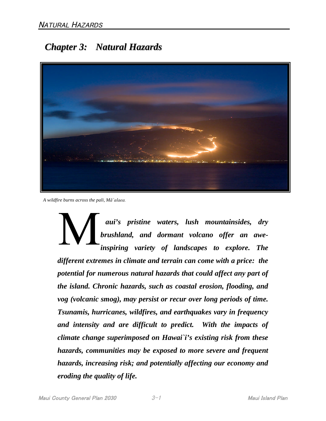# *Chapter 3: Natural Hazards*



*A wildfire burns across the pali, Mā`alaea.*

*aui's pristine waters, lush mountainsides, dry brushland, and dormant volcano offer an aweinspiring variety of landscapes to explore. The different extremes in climate and terrain can come with a price: the potential for numerous natural hazards that could affect any part of the island. Chronic hazards, such as coastal erosion, flooding, and vog (volcanic smog), may persist or recur over long periods of time. Tsunamis, hurricanes, wildfires, and earthquakes vary in frequency and intensity and are difficult to predict. With the impacts of climate change superimposed on Hawai`i's existing risk from these hazards, communities may be exposed to more severe and frequent hazards, increasing risk; and potentially affecting our economy and eroding the quality of life.*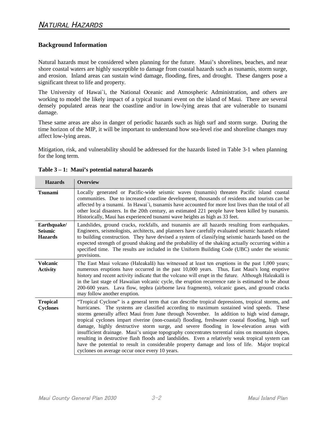### **Background Information**

Natural hazards must be considered when planning for the future. Maui's shorelines, beaches, and near shore coastal waters are highly susceptible to damage from coastal hazards such as tsunamis, storm surge, and erosion. Inland areas can sustain wind damage, flooding, fires, and drought. These dangers pose a significant threat to life and property.

The University of Hawai`i, the National Oceanic and Atmospheric Administration, and others are working to model the likely impact of a typical tsunami event on the island of Maui. There are several densely populated areas near the coastline and/or in low-lying areas that are vulnerable to tsunami damage.

These same areas are also in danger of periodic hazards such as high surf and storm surge. During the time horizon of the MIP, it will be important to understand how sea-level rise and shoreline changes may affect low-lying areas.

Mitigation, risk, and vulnerability should be addressed for the hazards listed in Table 3-1 when planning for the long term.

| <b>Hazards</b>                                  | <b>Overview</b>                                                                                                                                                                                                                                                                                                                                                                                                                                                                                                                                                                                                                                                                                                                                                                                                                                       |
|-------------------------------------------------|-------------------------------------------------------------------------------------------------------------------------------------------------------------------------------------------------------------------------------------------------------------------------------------------------------------------------------------------------------------------------------------------------------------------------------------------------------------------------------------------------------------------------------------------------------------------------------------------------------------------------------------------------------------------------------------------------------------------------------------------------------------------------------------------------------------------------------------------------------|
| <b>Tsunami</b>                                  | Locally generated or Pacific-wide seismic waves (tsunamis) threaten Pacific island coastal<br>communities. Due to increased coastline development, thousands of residents and tourists can be<br>affected by a tsunami. In Hawai'i, tsunamis have accounted for more lost lives than the total of all<br>other local disasters. In the 20th century, an estimated 221 people have been killed by tsunamis.<br>Historically, Maui has experienced tsunami wave heights as high as 33 feet.                                                                                                                                                                                                                                                                                                                                                             |
| Earthquake/<br><b>Seismic</b><br><b>Hazards</b> | Landslides, ground cracks, rockfalls, and tsunamis are all hazards resulting from earthquakes.<br>Engineers, seismologists, architects, and planners have carefully evaluated seismic hazards related<br>to building construction. They have devised a system of classifying seismic hazards based on the<br>expected strength of ground shaking and the probability of the shaking actually occurring within a<br>specified time. The results are included in the Uniform Building Code (UBC) under the seismic<br>provisions.                                                                                                                                                                                                                                                                                                                       |
| <b>Volcanic</b><br><b>Activity</b>              | The East Maui volcano (Haleakala) has witnessed at least ten eruptions in the past 1,000 years;<br>numerous eruptions have occurred in the past 10,000 years. Thus, East Maui's long eruptive<br>history and recent activity indicate that the volcano will erupt in the future. Although Haleakala is<br>in the last stage of Hawaiian volcanic cycle, the eruption recurrence rate is estimated to be about<br>200-600 years. Lava flow, tephra (airborne lava fragments), volcanic gases, and ground cracks<br>may follow another eruption.                                                                                                                                                                                                                                                                                                        |
| <b>Tropical</b><br><b>Cyclones</b>              | "Tropical Cyclone" is a general term that can describe tropical depressions, tropical storms, and<br>hurricanes. The systems are classified according to maximum sustained wind speeds. These<br>storms generally affect Maui from June through November. In addition to high wind damage,<br>tropical cyclones impart riverine (non-coastal) flooding, freshwater coastal flooding, high surf<br>damage, highly destructive storm surge, and severe flooding in low-elevation areas with<br>insufficient drainage. Maui's unique topography concentrates torrential rains on mountain slopes,<br>resulting in destructive flash floods and landslides. Even a relatively weak tropical system can<br>have the potential to result in considerable property damage and loss of life. Major tropical<br>cyclones on average occur once every 10 years. |

| Table $3 - 1$ : Maui's potential natural hazards |
|--------------------------------------------------|
|--------------------------------------------------|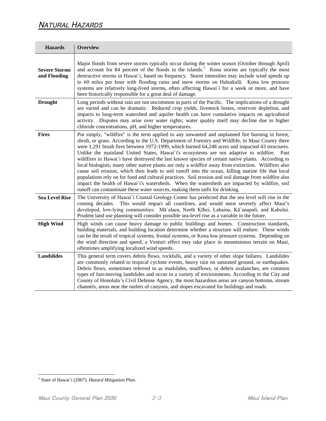# NATURAL HAZARDS

| <b>Hazards</b>                       | <b>Overview</b>                                                                                                                                                                                                                                                                                                                                                                                                                                                                                                                                                                                                                                                                                                                                                                                                                                                                                                                                                                                                 |
|--------------------------------------|-----------------------------------------------------------------------------------------------------------------------------------------------------------------------------------------------------------------------------------------------------------------------------------------------------------------------------------------------------------------------------------------------------------------------------------------------------------------------------------------------------------------------------------------------------------------------------------------------------------------------------------------------------------------------------------------------------------------------------------------------------------------------------------------------------------------------------------------------------------------------------------------------------------------------------------------------------------------------------------------------------------------|
| <b>Severe Storms</b><br>and Flooding | Major floods from severe storms typically occur during the winter season (October through April)<br>and account for 84 percent of the floods in the islands. <sup>1</sup> Kona storms are typically the most<br>destructive storms in Hawai'i, based on frequency. Storm intensities may include wind speeds up<br>to 60 miles per hour with flooding rains and snow storms on Haleakalā. Kona low pressure<br>systems are relatively long-lived storms, often affecting Hawai'i for a week or more, and have<br>been historically responsible for a great deal of damage.                                                                                                                                                                                                                                                                                                                                                                                                                                      |
| <b>Drought</b>                       | Long periods without rain are not uncommon in parts of the Pacific. The implications of a drought<br>are varied and can be dramatic. Reduced crop yields, livestock losses, reservoir depletion, and<br>impacts to long-term watershed and aquifer health can have cumulative impacts on agricultural<br>activity. Disputes may arise over water rights; water quality itself may decline due to higher<br>chloride concentrations, pH, and higher temperatures.                                                                                                                                                                                                                                                                                                                                                                                                                                                                                                                                                |
| <b>Fires</b>                         | Put simply, "wildfire" is the term applied to any unwanted and unplanned fire burning in forest,<br>shrub, or grass. According to the U.S. Department of Forestry and Wildlife, in Maui County there<br>were 1,291 brush fires between 1972-1999, which burned 64,248 acres and impacted 43 structures.<br>Unlike the mainland United States, Hawai'i's ecosystems are not adaptive to wildfire. Past<br>wildfires in Hawai'i have destroyed the last known species of certain native plants. According to<br>local biologists, many other native plants are only a wildfire away from extinction. Wildfires also<br>cause soil erosion, which then leads to soil runoff into the ocean, killing marine life that local<br>populations rely on for food and cultural practices. Soil erosion and soil damage from wildfire also<br>impact the health of Hawai'i's watersheds. When the watersheds are impacted by wildfire, soil<br>runoff can contaminate these water sources, making them unfit for drinking. |
| <b>Sea Level Rise</b>                | The University of Hawai'i Coastal Geology Center has predicted that the sea level will rise in the<br>This would impact all coastlines, and would most severely affect Maui's<br>coming decades.<br>developed, low-lying communities: Mā`alaea, North Kīhei, Lahaina, Kā`anapali, and Kahului.<br>Prudent land use planning will consider possible sea-level rise as a variable in the future.                                                                                                                                                                                                                                                                                                                                                                                                                                                                                                                                                                                                                  |
| <b>High Wind</b>                     | High winds can cause heavy damage to public buildings and homes. Construction standards,<br>building materials, and building location determine whether a structure will endure. These winds<br>can be the result of tropical systems, frontal systems, or Kona low pressure systems. Depending on<br>the wind direction and speed, a Venturi effect may take place in mountainous terrain on Maui,<br>oftentimes amplifying localized wind speeds.                                                                                                                                                                                                                                                                                                                                                                                                                                                                                                                                                             |
| <b>Landslides</b>                    | This general term covers debris flows, rockfalls, and a variety of other slope failures. Landslides<br>are commonly related to tropical cyclone events, heavy rain on saturated ground, or earthquakes.<br>Debris flows, sometimes referred to as mudslides, mudflows, or debris avalanches, are common<br>types of fast-moving landslides and occur in a variety of environments. According to the City and<br>County of Honolulu's Civil Defense Agency, the most hazardous areas are canyon bottoms, stream<br>channels, areas near the outlets of canyons, and slopes excavated for buildings and roads.                                                                                                                                                                                                                                                                                                                                                                                                    |

<span id="page-2-0"></span><sup>&</sup>lt;sup>1</sup> State of Hawai'i (2007). *Hazard Mitigation Plan*.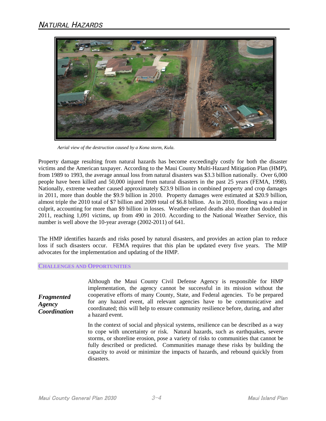

*Aerial view of the destruction caused by a Kona storm, Kula.*

Property damage resulting from natural hazards has become exceedingly costly for both the disaster victims and the American taxpayer. According to the Maui County Multi-Hazard Mitigation Plan (HMP), from 1989 to 1993, the average annual loss from natural disasters was \$3.3 billion nationally. Over 6,000 people have been killed and 50,000 injured from natural disasters in the past 25 years (FEMA, 1998). Nationally, extreme weather caused approximately \$23.9 billion in combined property and crop damages in 2011, more than double the \$9.9 billion in 2010. Property damages were estimated at \$20.9 billion, almost triple the 2010 total of \$7 billion and 2009 total of \$6.8 billion. As in 2010, flooding was a major culprit, accounting for more than \$9 billion in losses. Weather-related deaths also more than doubled in 2011, reaching 1,091 victims, up from 490 in 2010. According to the National Weather Service, this number is well above the 10-year average (2002-2011) of 641.

The HMP identifies hazards and risks posed by natural disasters, and provides an action plan to reduce loss if such disasters occur. FEMA requires that this plan be updated every five years. The MIP advocates for the implementation and updating of the HMP.

#### **CHALLENGES AND OPPORTUNITIES**

*Fragmented Agency Coordination*

Although the Maui County Civil Defense Agency is responsible for HMP implementation, the agency cannot be successful in its mission without the cooperative efforts of many County, State, and Federal agencies. To be prepared for any hazard event, all relevant agencies have to be communicative and coordinated; this will help to ensure community resilience before, during, and after a hazard event.

In the context of social and physical systems, resilience can be described as a way to cope with uncertainty or risk. Natural hazards, such as earthquakes, severe storms, or shoreline erosion, pose a variety of risks to communities that cannot be fully described or predicted. Communities manage these risks by building the capacity to avoid or minimize the impacts of hazards, and rebound quickly from disasters.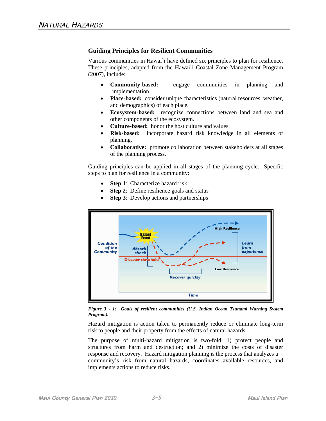### **Guiding Principles for Resilient Communities**

Various communities in Hawai`i have defined six principles to plan for resilience. These principles, adapted from the Hawai`i Coastal Zone Management Program (2007), include:

- **Community-based:** engage communities in planning and implementation.
- **Place-based:** consider unique characteristics (natural resources, weather, and demographics) of each place.
- **Ecosystem-based:** recognize connections between land and sea and other components of the ecosystem.
- **Culture-based:** honor the host culture and values.
- **Risk-based:** incorporate hazard risk knowledge in all elements of planning.
- **Collaborative:** promote collaboration between stakeholders at all stages of the planning process.

Guiding principles can be applied in all stages of the planning cycle. Specific steps to plan for resilience in a community:

- **Step 1**: Characterize hazard risk
- **Step 2**: Define resilience goals and status
- **Step 3**: Develop actions and partnerships



*Figure 3 - 1: Goals of resilient communities (U.S. Indian Ocean Tsunami Warning System Program).*

Hazard mitigation is action taken to permanently reduce or eliminate long-term risk to people and their property from the effects of natural hazards.

The purpose of multi-hazard mitigation is two-fold: 1) protect people and structures from harm and destruction; and 2) minimize the costs of disaster response and recovery. Hazard mitigation planning is the process that analyzes a community's risk from natural hazards, coordinates available resources, and implements actions to reduce risks.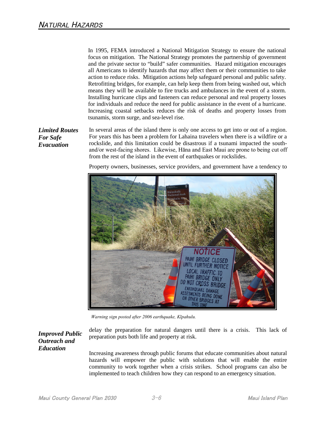In 1995, FEMA introduced a National Mitigation Strategy to ensure the national focus on mitigation. The National Strategy promotes the partnership of government and the private sector to "build" safer communities. Hazard mitigation encourages all Americans to identify hazards that may affect them or their communities to take action to reduce risks. Mitigation actions help safeguard personal and public safety. Retrofitting bridges, for example, can help keep them from being washed out, which means they will be available to fire trucks and ambulances in the event of a storm. Installing hurricane clips and fasteners can reduce personal and real property losses for individuals and reduce the need for public assistance in the event of a hurricane. Increasing coastal setbacks reduces the risk of deaths and property losses from tsunamis, storm surge, and sea-level rise.

*Limited Routes For Safe Evacuation*

In several areas of the island there is only one access to get into or out of a region. For years this has been a problem for Lahaina travelers when there is a wildfire or a rockslide, and this limitation could be disastrous if a tsunami impacted the southand/or west-facing shores. Likewise, Hāna and East Maui are prone to being cut off from the rest of the island in the event of earthquakes or rockslides.

Property owners, businesses, service providers, and government have a tendency to



*Warning sign posted after 2006 earthquake, Kīpahulu.*

# *Improved Public Outreach and Education*

delay the preparation for natural dangers until there is a crisis. This lack of preparation puts both life and property at risk.

Increasing awareness through public forums that educate communities about natural hazards will empower the public with solutions that will enable the entire community to work together when a crisis strikes. School programs can also be implemented to teach children how they can respond to an emergency situation.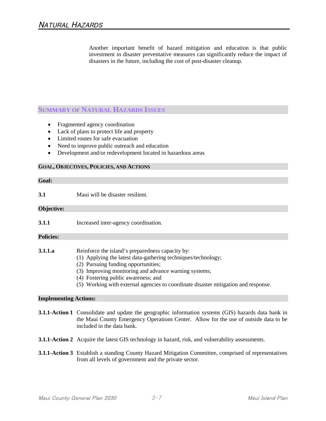Another important benefit of hazard mitigation and education is that public investment in disaster preventative measures can significantly reduce the impact of disasters in the future, including the cost of post-disaster cleanup.

# **SUMMARY OF NATURAL HAZARDS ISSUES**

- Fragmented agency coordination
- Lack of plans to protect life and property
- Limited routes for safe evacuation
- Need to improve public outreach and education
- Development and/or redevelopment located in hazardous areas

#### **GOAL, OBJECTIVES, POLICIES, AND ACTIONS**

#### **Goal:**

**3.1** Maui will be disaster resilient.

#### **Objective:**

| 3.1.1 | Increased inter-agency coordination. |  |
|-------|--------------------------------------|--|
|       |                                      |  |
|       |                                      |  |

#### **Policies:**

| 3.1.1.a |  | Reinforce the island's preparedness capacity by: |  |
|---------|--|--------------------------------------------------|--|
|         |  |                                                  |  |

- (1) Applying the latest data-gathering techniques/technology;
- (2) Pursuing funding opportunities;
- (3) Improving monitoring and advance warning systems;
- (4) Fostering public awareness; and
- (5) Working with external agencies to coordinate disaster mitigation and response.

#### **Implementing Actions:**

- **3.1.1-Action 1** Consolidate and update the geographic information systems (GIS) hazards data bank in the Maui County Emergency Operations Center. Allow for the use of outside data to be included in the data bank.
- **3.1.1-Action 2** Acquire the latest GIS technology in hazard, risk, and vulnerability assessments.
- **3.1.1-Action 3** Establish a standing County Hazard Mitigation Committee, comprised of representatives from all levels of government and the private sector.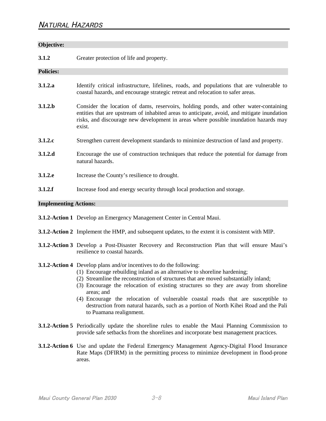# NATURAL HAZARDS

| Objective:                   |                                                                                                                                                                                                                                                                                                                                                                                                                                                                                                                                                             |  |
|------------------------------|-------------------------------------------------------------------------------------------------------------------------------------------------------------------------------------------------------------------------------------------------------------------------------------------------------------------------------------------------------------------------------------------------------------------------------------------------------------------------------------------------------------------------------------------------------------|--|
| 3.1.2                        | Greater protection of life and property.                                                                                                                                                                                                                                                                                                                                                                                                                                                                                                                    |  |
| <b>Policies:</b>             |                                                                                                                                                                                                                                                                                                                                                                                                                                                                                                                                                             |  |
| 3.1.2.a                      | Identify critical infrastructure, lifelines, roads, and populations that are vulnerable to<br>coastal hazards, and encourage strategic retreat and relocation to safer areas.                                                                                                                                                                                                                                                                                                                                                                               |  |
| 3.1.2.b                      | Consider the location of dams, reservoirs, holding ponds, and other water-containing<br>entities that are upstream of inhabited areas to anticipate, avoid, and mitigate inundation<br>risks, and discourage new development in areas where possible inundation hazards may<br>exist.                                                                                                                                                                                                                                                                       |  |
| 3.1.2.c                      | Strengthen current development standards to minimize destruction of land and property.                                                                                                                                                                                                                                                                                                                                                                                                                                                                      |  |
| 3.1.2.d                      | Encourage the use of construction techniques that reduce the potential for damage from<br>natural hazards.                                                                                                                                                                                                                                                                                                                                                                                                                                                  |  |
| 3.1.2.e                      | Increase the County's resilience to drought.                                                                                                                                                                                                                                                                                                                                                                                                                                                                                                                |  |
| 3.1.2.f                      | Increase food and energy security through local production and storage.                                                                                                                                                                                                                                                                                                                                                                                                                                                                                     |  |
| <b>Implementing Actions:</b> |                                                                                                                                                                                                                                                                                                                                                                                                                                                                                                                                                             |  |
|                              | 3.1.2-Action 1 Develop an Emergency Management Center in Central Maui.                                                                                                                                                                                                                                                                                                                                                                                                                                                                                      |  |
|                              | <b>3.1.2-Action 2</b> Implement the HMP, and subsequent updates, to the extent it is consistent with MIP.                                                                                                                                                                                                                                                                                                                                                                                                                                                   |  |
|                              | <b>3.1.2-Action 3</b> Develop a Post-Disaster Recovery and Reconstruction Plan that will ensure Maui's<br>resilience to coastal hazards.                                                                                                                                                                                                                                                                                                                                                                                                                    |  |
|                              | <b>3.1.2-Action 4</b> Develop plans and/or incentives to do the following:<br>(1) Encourage rebuilding inland as an alternative to shoreline hardening;<br>(2) Streamline the reconstruction of structures that are moved substantially inland;<br>(3) Encourage the relocation of existing structures so they are away from shoreline<br>areas; and<br>(4) Encourage the relocation of vulnerable coastal roads that are susceptible to<br>destruction from natural hazards, such as a portion of North Kihei Road and the Pali<br>to Puamana realignment. |  |
|                              | 3.1.2-Action 5 Periodically update the shoreline rules to enable the Maui Planning Commission to<br>provide safe setbacks from the shorelines and incorporate best management practices.                                                                                                                                                                                                                                                                                                                                                                    |  |
|                              | <b>3.1.2-Action 6</b> Use and update the Federal Emergency Management Agency-Digital Flood Insurance<br>Rate Maps (DFIRM) in the permitting process to minimize development in flood-prone                                                                                                                                                                                                                                                                                                                                                                  |  |

areas.